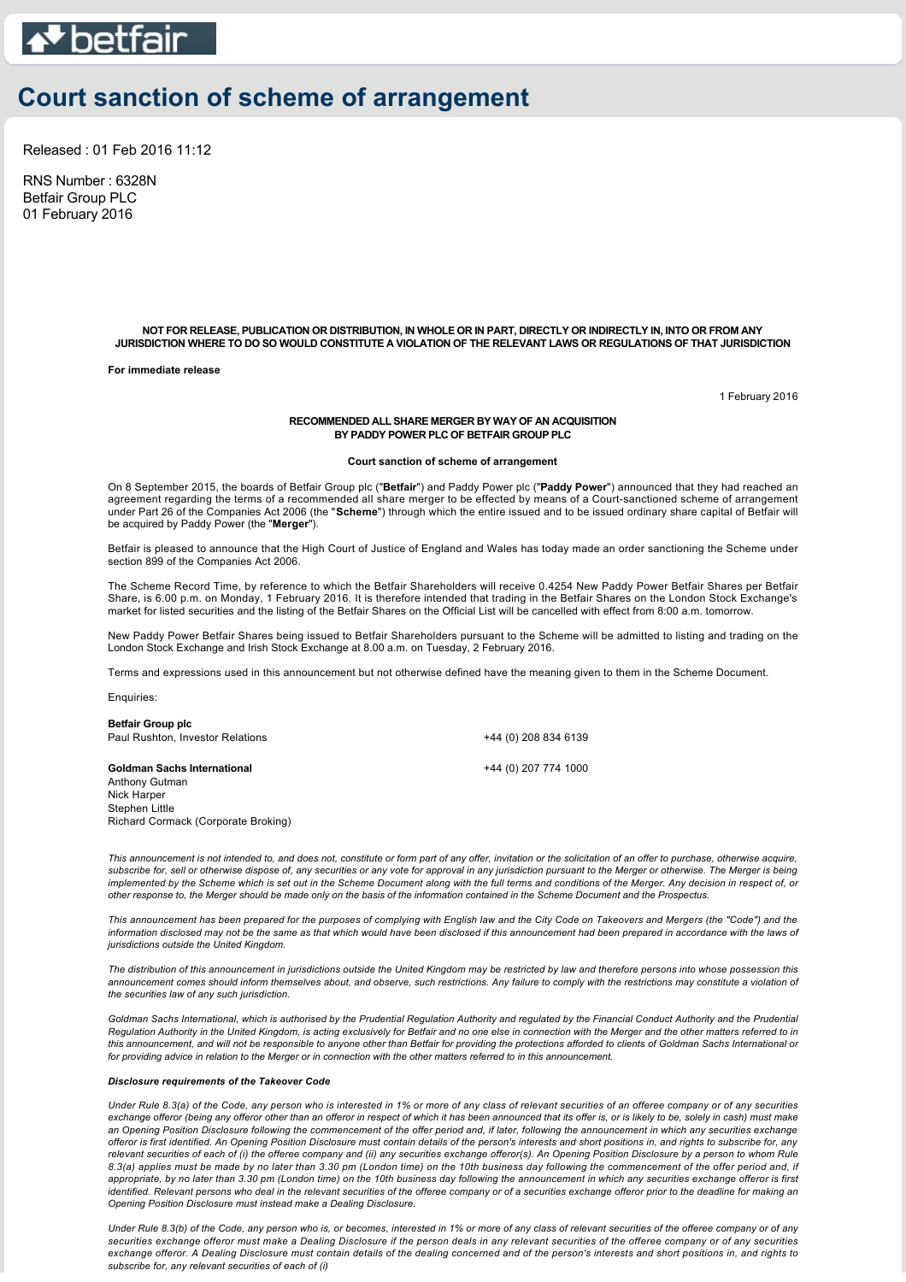

# **Court sanction of scheme of arrangement**

Released : 01 Feb 2016 11:12

RNS Number : 6328N Betfair Group PLC 01 February 2016

> **NOT FOR RELEASE, PUBLICATION OR DISTRIBUTION, IN WHOLE OR IN PART, DIRECTLY OR INDIRECTLY IN, INTO OR FROM ANY JURISDICTION WHERE TO DO SO WOULD CONSTITUTE A VIOLATION OF THE RELEVANT LAWS OR REGULATIONS OF THAT JURISDICTION**

**For immediate release**

1 February 2016

### **RECOMMENDED ALL SHARE MERGER BY WAY OF AN ACQUISITION BY PADDY POWER PLC OF BETFAIR GROUP PLC**

### **Court sanction of scheme of arrangement**

On 8 September 2015, the boards of Betfair Group plc ("**Betfair**") and Paddy Power plc ("**Paddy Power**") announced that they had reached an agreement regarding the terms of a recommended all share merger to be effected by means of a Courtsanctioned scheme of arrangement under Part 26 of the Companies Act 2006 (the "**Scheme**") through which the entire issued and to be issued ordinary share capital of Betfair will be acquired by Paddy Power (the "**Merger**").

Betfair is pleased to announce that the High Court of Justice of England and Wales has today made an order sanctioning the Scheme under section 899 of the Companies Act 2006.

The Scheme Record Time, by reference to which the Betfair Shareholders will receive 0.4254 New Paddy Power Betfair Shares per Betfair Share, is 6.00 p.m. on Monday, 1 February 2016. It is therefore intended that trading in the Betfair Shares on the London Stock Exchange's market for listed securities and the listing of the Betfair Shares on the Official List will be cancelled with effect from 8:00 a.m. tomorrow.

New Paddy Power Betfair Shares being issued to Betfair Shareholders pursuant to the Scheme will be admitted to listing and trading on the London Stock Exchange and Irish Stock Exchange at 8.00 a.m. on Tuesday, 2 February 2016.

Terms and expressions used in this announcement but not otherwise defined have the meaning given to them in the Scheme Document.

Enquiries:

| +44 (0) 208 834 6139 |
|----------------------|
| +44 (0) 207 774 1000 |
|                      |

*This announcement is not intended to, and does not, constitute or form part of any offer, invitation or the solicitation of an offer to purchase, otherwise acquire, subscribe for, sell or otherwise dispose of, any securities or any vote for approval in any jurisdiction pursuant to the Merger or otherwise. The Merger is being implemented by the Scheme which is set out in the Scheme Document along with the full terms and conditions of the Merger. Any decision in respect of, or other response to, the Merger should be made only on the basis of the information contained in the Scheme Document and the Prospectus.*

*This announcement has been prepared for the purposes of complying with English law and the City Code on Takeovers and Mergers (the "Code") and the information disclosed may not be the same as that which would have been disclosed if this announcement had been prepared in accordance with the laws of jurisdictions outside the United Kingdom.*

*The distribution of this announcement in jurisdictions outside the United Kingdom may be restricted by law and therefore persons into whose possession this announcement comes should inform themselves about, and observe, such restrictions. Any failure to comply with the restrictions may constitute a violation of the securities law of any such jurisdiction.*

Goldman Sachs International, which is authorised by the Prudential Regulation Authority and regulated by the Financial Conduct Authority and the Prudential *Regulation Authority in the United Kingdom, is acting exclusively for Betfair and no one else in connection with the Merger and the other matters referred to in this announcement, and will not be responsible to anyone other than Betfair for providing the protections afforded to clients of Goldman Sachs International or for providing advice in relation to the Merger or in connection with the other matters referred to in this announcement.*

#### *Disclosure requirements of the Takeover Code*

Richard Cormack (Corporate Broking)

*Under Rule 8.3(a) of the Code, any person who is interested in 1% or more of any class of relevant securities of an offeree company or of any securities exchange offeror (being any offeror other than an offeror in respect of which it has been announced that its offer is, or is likely to be, solely in cash) must make an Opening Position Disclosure following the commencement of the offer period and, if later, following the announcement in which any securities exchange offeror is first identified. An Opening Position Disclosure must contain details of the person's interests and short positions in, and rights to subscribe for, any relevant securities of each of (i) the offeree company and (ii) any securities exchange offeror(s). An Opening Position Disclosure by a person to whom Rule 8.3(a) applies must be made by no later than 3.30 pm (London time) on the 10th business day following the commencement of the offer period and, if appropriate, by no later than 3.30 pm (London time) on the 10th business day following the announcement in which any securities exchange offeror is first identified. Relevant persons who deal in the relevant securities of the offeree company or of a securities exchange offeror prior to the deadline for making an Opening Position Disclosure must instead make a Dealing Disclosure.*

*Under Rule 8.3(b) of the Code, any person who is, or becomes, interested in 1% or more of any class of relevant securities of the offeree company or of any securities exchange offeror must make a Dealing Disclosure if the person deals in any relevant securities of the offeree company or of any securities exchange offeror. A Dealing Disclosure must contain details of the dealing concerned and of the person's interests and short positions in, and rights to subscribe for, any relevant securities of each of (i)*